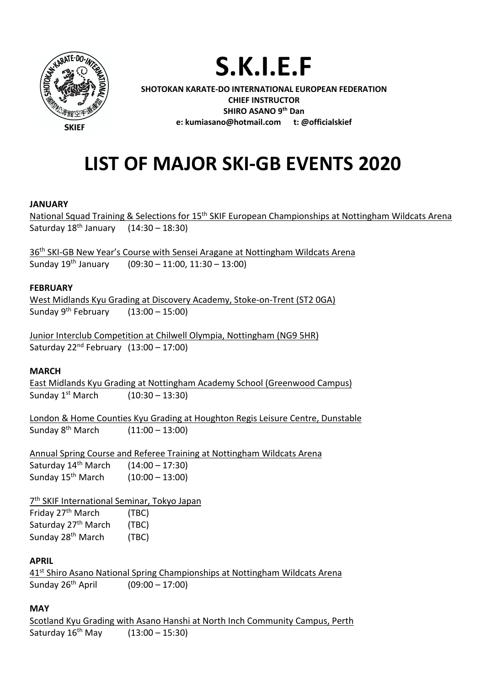

**S.K.I.E.F**

**SHOTOKAN KARATE-DO INTERNATIONAL EUROPEAN FEDERATION CHIEF INSTRUCTOR SHIRO ASANO 9th Dan e: kumiasano@hotmail.com t: @officialskief**

# **LIST OF MAJOR SKI-GB EVENTS 2020**

## **JANUARY**

National Squad Training & Selections for 15<sup>th</sup> SKIF European Championships at Nottingham Wildcats Arena Saturday 18th January (14:30 – 18:30)

36<sup>th</sup> SKI-GB New Year's Course with Sensei Aragane at Nottingham Wildcats Arena Sunday 19th January (09:30 – 11:00, 11:30 – 13:00)

#### **FEBRUARY**

West Midlands Kyu Grading at Discovery Academy, Stoke-on-Trent (ST2 0GA) Sunday  $9^{th}$  February (13:00 – 15:00)

Junior Interclub Competition at Chilwell Olympia, Nottingham (NG9 5HR) Saturday  $22<sup>nd</sup>$  February  $(13:00 - 17:00)$ 

## **MARCH**

East Midlands Kyu Grading at Nottingham Academy School (Greenwood Campus) Sunday  $1^{st}$  March  $(10:30 - 13:30)$ 

London & Home Counties Kyu Grading at Houghton Regis Leisure Centre, Dunstable Sunday 8th March (11:00 – 13:00)

Annual Spring Course and Referee Training at Nottingham Wildcats Arena Saturday  $14^{th}$  March  $(14:00 - 17:30)$ Sunday 15th March (10:00 – 13:00)

7<sup>th</sup> SKIF International Seminar, Tokyo Japan Friday 27<sup>th</sup> March (TBC) Saturday 27<sup>th</sup> March (TBC) Sunday 28<sup>th</sup> March (TBC)

## **APRIL**

41<sup>st</sup> Shiro Asano National Spring Championships at Nottingham Wildcats Arena Sunday 26th April (09:00 – 17:00)

## **MAY**

Scotland Kyu Grading with Asano Hanshi at North Inch Community Campus, Perth Saturday  $16^{th}$  May  $(13:00 - 15:30)$